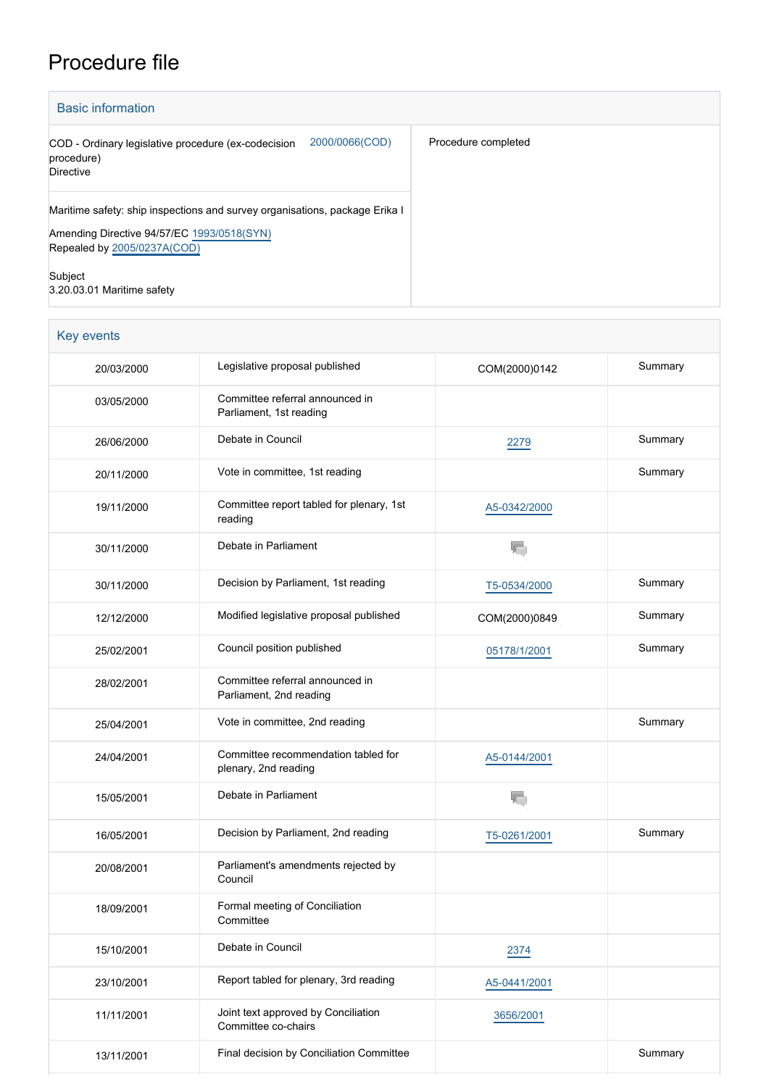## Procedure file

| <b>Basic information</b>                                                                                                                                 |                     |  |  |  |
|----------------------------------------------------------------------------------------------------------------------------------------------------------|---------------------|--|--|--|
| 2000/0066(COD)<br>COD - Ordinary legislative procedure (ex-codecision<br>procedure)<br>Directive                                                         | Procedure completed |  |  |  |
| Maritime safety: ship inspections and survey organisations, package Erika I<br>Amending Directive 94/57/EC 1993/0518(SYN)<br>Repealed by 2005/0237A(COD) |                     |  |  |  |
| Subject<br>3.20.03.01 Maritime safety                                                                                                                    |                     |  |  |  |

| <b>Key events</b> |                                                             |               |         |
|-------------------|-------------------------------------------------------------|---------------|---------|
| 20/03/2000        | Legislative proposal published                              | COM(2000)0142 | Summary |
| 03/05/2000        | Committee referral announced in<br>Parliament, 1st reading  |               |         |
| 26/06/2000        | Debate in Council                                           | 2279          | Summary |
| 20/11/2000        | Vote in committee, 1st reading                              |               | Summary |
| 19/11/2000        | Committee report tabled for plenary, 1st<br>reading         | A5-0342/2000  |         |
| 30/11/2000        | Debate in Parliament                                        | T.            |         |
| 30/11/2000        | Decision by Parliament, 1st reading                         | T5-0534/2000  | Summary |
| 12/12/2000        | Modified legislative proposal published                     | COM(2000)0849 | Summary |
| 25/02/2001        | Council position published                                  | 05178/1/2001  | Summary |
| 28/02/2001        | Committee referral announced in<br>Parliament, 2nd reading  |               |         |
| 25/04/2001        | Vote in committee, 2nd reading                              |               | Summary |
| 24/04/2001        | Committee recommendation tabled for<br>plenary, 2nd reading | A5-0144/2001  |         |
| 15/05/2001        | Debate in Parliament                                        | T.            |         |
| 16/05/2001        | Decision by Parliament, 2nd reading                         | T5-0261/2001  | Summary |
| 20/08/2001        | Parliament's amendments rejected by<br>Council              |               |         |
| 18/09/2001        | Formal meeting of Conciliation<br>Committee                 |               |         |
| 15/10/2001        | Debate in Council                                           | 2374          |         |
| 23/10/2001        | Report tabled for plenary, 3rd reading                      | A5-0441/2001  |         |
| 11/11/2001        | Joint text approved by Conciliation<br>Committee co-chairs  | 3656/2001     |         |
| 13/11/2001        | Final decision by Conciliation Committee                    |               | Summary |